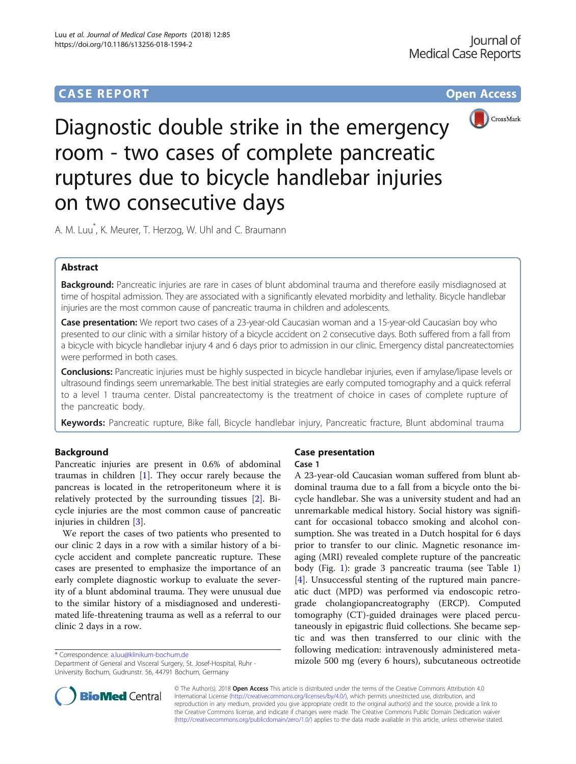# **CASE REPORT CASE REPORT CASE REPORT**



Diagnostic double strike in the emergency room - two cases of complete pancreatic ruptures due to bicycle handlebar injuries on two consecutive days

A. M. Luu\* , K. Meurer, T. Herzog, W. Uhl and C. Braumann

# Abstract

Background: Pancreatic injuries are rare in cases of blunt abdominal trauma and therefore easily misdiagnosed at time of hospital admission. They are associated with a significantly elevated morbidity and lethality. Bicycle handlebar injuries are the most common cause of pancreatic trauma in children and adolescents.

**Case presentation:** We report two cases of a 23-year-old Caucasian woman and a 15-year-old Caucasian boy who presented to our clinic with a similar history of a bicycle accident on 2 consecutive days. Both suffered from a fall from a bicycle with bicycle handlebar injury 4 and 6 days prior to admission in our clinic. Emergency distal pancreatectomies were performed in both cases.

Conclusions: Pancreatic injuries must be highly suspected in bicycle handlebar injuries, even if amylase/lipase levels or ultrasound findings seem unremarkable. The best initial strategies are early computed tomography and a quick referral to a level 1 trauma center. Distal pancreatectomy is the treatment of choice in cases of complete rupture of the pancreatic body.

Keywords: Pancreatic rupture, Bike fall, Bicycle handlebar injury, Pancreatic fracture, Blunt abdominal trauma

## Background

Pancreatic injuries are present in 0.6% of abdominal traumas in children  $[1]$  $[1]$ . They occur rarely because the pancreas is located in the retroperitoneum where it is relatively protected by the surrounding tissues [[2](#page-3-0)]. Bicycle injuries are the most common cause of pancreatic injuries in children [\[3](#page-3-0)].

We report the cases of two patients who presented to our clinic 2 days in a row with a similar history of a bicycle accident and complete pancreatic rupture. These cases are presented to emphasize the importance of an early complete diagnostic workup to evaluate the severity of a blunt abdominal trauma. They were unusual due to the similar history of a misdiagnosed and underestimated life-threatening trauma as well as a referral to our clinic 2 days in a row.

Department of General and Visceral Surgery, St. Josef-Hospital, Ruhr - University Bochum, Gudrunstr. 56, 44791 Bochum, Germany

## Case presentation

#### Case 1

A 23-year-old Caucasian woman suffered from blunt abdominal trauma due to a fall from a bicycle onto the bicycle handlebar. She was a university student and had an unremarkable medical history. Social history was significant for occasional tobacco smoking and alcohol consumption. She was treated in a Dutch hospital for 6 days prior to transfer to our clinic. Magnetic resonance imaging (MRI) revealed complete rupture of the pancreatic body (Fig. [1\)](#page-1-0): grade 3 pancreatic trauma (see Table [1](#page-1-0)) [[4\]](#page-3-0). Unsuccessful stenting of the ruptured main pancreatic duct (MPD) was performed via endoscopic retrograde cholangiopancreatography (ERCP). Computed tomography (CT)-guided drainages were placed percutaneously in epigastric fluid collections. She became septic and was then transferred to our clinic with the following medication: intravenously administered meta\* Correspondence: [a.luu@klinikum-bochum.de](mailto:a.luu@klinikum-bochum.de)<br>Department of General and Visceral Surgery. St. Josef-Hospital. Ruhr - **mizole 500 mg (every 6 hours), subcutaneous octreotide** 



© The Author(s). 2018 Open Access This article is distributed under the terms of the Creative Commons Attribution 4.0 International License [\(http://creativecommons.org/licenses/by/4.0/](http://creativecommons.org/licenses/by/4.0/)), which permits unrestricted use, distribution, and reproduction in any medium, provided you give appropriate credit to the original author(s) and the source, provide a link to the Creative Commons license, and indicate if changes were made. The Creative Commons Public Domain Dedication waiver [\(http://creativecommons.org/publicdomain/zero/1.0/](http://creativecommons.org/publicdomain/zero/1.0/)) applies to the data made available in this article, unless otherwise stated.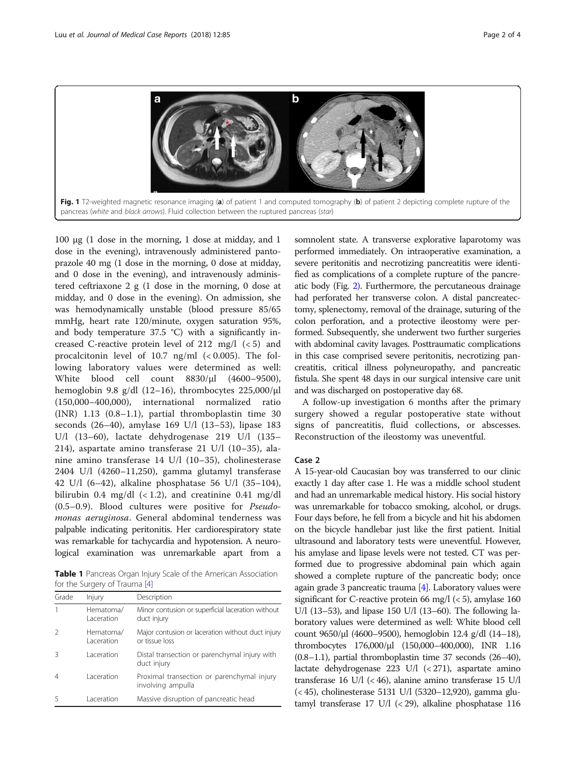<span id="page-1-0"></span>

100 μg (1 dose in the morning, 1 dose at midday, and 1 dose in the evening), intravenously administered pantoprazole 40 mg (1 dose in the morning, 0 dose at midday, and 0 dose in the evening), and intravenously administered ceftriaxone 2 g (1 dose in the morning, 0 dose at midday, and 0 dose in the evening). On admission, she was hemodynamically unstable (blood pressure 85/65 mmHg, heart rate 120/minute, oxygen saturation 95%, and body temperature 37.5 °C) with a significantly increased C-reactive protein level of 212 mg/l (< 5) and procalcitonin level of  $10.7$  ng/ml  $( $0.005$ ). The fol$ lowing laboratory values were determined as well: White blood cell count 8830/μl (4600–9500), hemoglobin 9.8 g/dl (12–16), thrombocytes 225,000/μl (150,000–400,000), international normalized ratio (INR) 1.13 (0.8–1.1), partial thromboplastin time 30 seconds (26–40), amylase 169 U/l (13–53), lipase 183 U/l (13–60), lactate dehydrogenase 219 U/l (135– 214), aspartate amino transferase 21 U/l (10–35), alanine amino transferase 14 U/l (10–35), cholinesterase 2404 U/l (4260–11,250), gamma glutamyl transferase 42 U/l (6–42), alkaline phosphatase 56 U/l (35–104), bilirubin 0.4 mg/dl (< 1.2), and creatinine 0.41 mg/dl (0.5–0.9). Blood cultures were positive for Pseudomonas aeruginosa. General abdominal tenderness was palpable indicating peritonitis. Her cardiorespiratory state was remarkable for tachycardia and hypotension. A neurological examination was unremarkable apart from a

Table 1 Pancreas Organ Injury Scale of the American Association for the Surgery of Trauma [[4](#page-3-0)]

| Grade | Injury                  | Description                                                         |
|-------|-------------------------|---------------------------------------------------------------------|
|       | Hematoma/<br>Laceration | Minor contusion or superficial laceration without<br>duct injury    |
|       | Hematoma/<br>Laceration | Major contusion or laceration without duct injury<br>or tissue loss |
|       | Laceration              | Distal transection or parenchymal injury with<br>duct injury        |
| 4     | l aceration             | Proximal transection or parenchymal injury<br>involving ampulla     |
|       | l aceration             | Massive disruption of pancreatic head                               |

somnolent state. A transverse explorative laparotomy was performed immediately. On intraoperative examination, a severe peritonitis and necrotizing pancreatitis were identified as complications of a complete rupture of the pancreatic body (Fig. [2\)](#page-2-0). Furthermore, the percutaneous drainage had perforated her transverse colon. A distal pancreatectomy, splenectomy, removal of the drainage, suturing of the colon perforation, and a protective ileostomy were performed. Subsequently, she underwent two further surgeries with abdominal cavity lavages. Posttraumatic complications in this case comprised severe peritonitis, necrotizing pancreatitis, critical illness polyneuropathy, and pancreatic fistula. She spent 48 days in our surgical intensive care unit and was discharged on postoperative day 68.

A follow-up investigation 6 months after the primary surgery showed a regular postoperative state without signs of pancreatitis, fluid collections, or abscesses. Reconstruction of the ileostomy was uneventful.

## Case 2

A 15-year-old Caucasian boy was transferred to our clinic exactly 1 day after case 1. He was a middle school student and had an unremarkable medical history. His social history was unremarkable for tobacco smoking, alcohol, or drugs. Four days before, he fell from a bicycle and hit his abdomen on the bicycle handlebar just like the first patient. Initial ultrasound and laboratory tests were uneventful. However, his amylase and lipase levels were not tested. CT was performed due to progressive abdominal pain which again showed a complete rupture of the pancreatic body; once again grade 3 pancreatic trauma  $[4]$  $[4]$  $[4]$ . Laboratory values were significant for C-reactive protein 66 mg/l  $(< 5)$ , amylase 160 U/l (13–53), and lipase 150 U/l (13–60). The following laboratory values were determined as well: White blood cell count 9650/μl (4600–9500), hemoglobin 12.4 g/dl (14–18), thrombocytes 176,000/μl (150,000–400,000), INR 1.16 (0.8–1.1), partial thromboplastin time 37 seconds (26–40), lactate dehydrogenase 223 U/l (< 271), aspartate amino transferase 16 U/l (< 46), alanine amino transferase 15 U/l (< 45), cholinesterase 5131 U/l (5320–12,920), gamma glutamyl transferase 17 U/l (< 29), alkaline phosphatase 116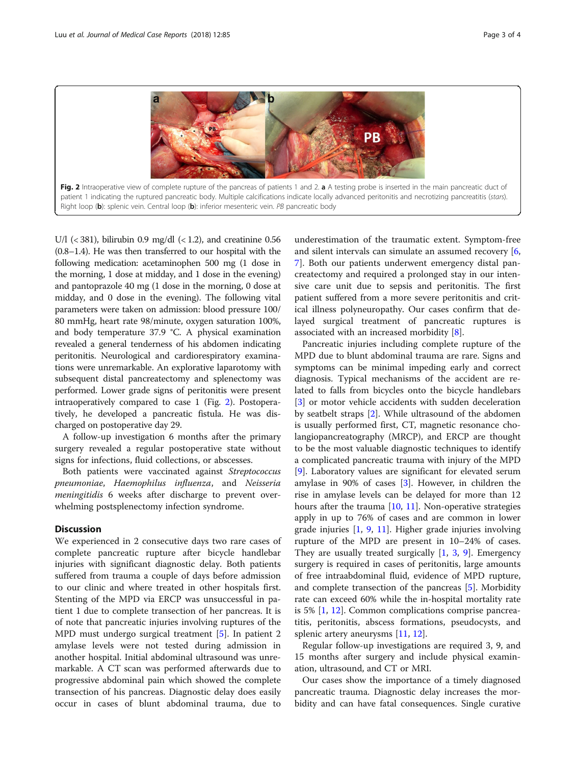<span id="page-2-0"></span>

U/l  $(< 381$ ), bilirubin 0.9 mg/dl  $(< 1.2$ ), and creatinine 0.56 (0.8–1.4). He was then transferred to our hospital with the following medication: acetaminophen 500 mg (1 dose in the morning, 1 dose at midday, and 1 dose in the evening) and pantoprazole 40 mg (1 dose in the morning, 0 dose at midday, and 0 dose in the evening). The following vital parameters were taken on admission: blood pressure 100/ 80 mmHg, heart rate 98/minute, oxygen saturation 100%, and body temperature 37.9 °C. A physical examination revealed a general tenderness of his abdomen indicating peritonitis. Neurological and cardiorespiratory examinations were unremarkable. An explorative laparotomy with subsequent distal pancreatectomy and splenectomy was performed. Lower grade signs of peritonitis were present intraoperatively compared to case 1 (Fig. 2). Postoperatively, he developed a pancreatic fistula. He was discharged on postoperative day 29.

A follow-up investigation 6 months after the primary surgery revealed a regular postoperative state without signs for infections, fluid collections, or abscesses.

Both patients were vaccinated against Streptococcus pneumoniae, Haemophilus influenza, and Neisseria meningitidis 6 weeks after discharge to prevent overwhelming postsplenectomy infection syndrome.

## **Discussion**

We experienced in 2 consecutive days two rare cases of complete pancreatic rupture after bicycle handlebar injuries with significant diagnostic delay. Both patients suffered from trauma a couple of days before admission to our clinic and where treated in other hospitals first. Stenting of the MPD via ERCP was unsuccessful in patient 1 due to complete transection of her pancreas. It is of note that pancreatic injuries involving ruptures of the MPD must undergo surgical treatment [[5\]](#page-3-0). In patient 2 amylase levels were not tested during admission in another hospital. Initial abdominal ultrasound was unremarkable. A CT scan was performed afterwards due to progressive abdominal pain which showed the complete transection of his pancreas. Diagnostic delay does easily occur in cases of blunt abdominal trauma, due to

underestimation of the traumatic extent. Symptom-free and silent intervals can simulate an assumed recovery [\[6](#page-3-0), [7\]](#page-3-0). Both our patients underwent emergency distal pancreatectomy and required a prolonged stay in our intensive care unit due to sepsis and peritonitis. The first patient suffered from a more severe peritonitis and critical illness polyneuropathy. Our cases confirm that delayed surgical treatment of pancreatic ruptures is associated with an increased morbidity [[8\]](#page-3-0).

Pancreatic injuries including complete rupture of the MPD due to blunt abdominal trauma are rare. Signs and symptoms can be minimal impeding early and correct diagnosis. Typical mechanisms of the accident are related to falls from bicycles onto the bicycle handlebars [[3\]](#page-3-0) or motor vehicle accidents with sudden deceleration by seatbelt straps [\[2](#page-3-0)]. While ultrasound of the abdomen is usually performed first, CT, magnetic resonance cholangiopancreatography (MRCP), and ERCP are thought to be the most valuable diagnostic techniques to identify a complicated pancreatic trauma with injury of the MPD [[9\]](#page-3-0). Laboratory values are significant for elevated serum amylase in 90% of cases [\[3](#page-3-0)]. However, in children the rise in amylase levels can be delayed for more than 12 hours after the trauma  $[10, 11]$  $[10, 11]$  $[10, 11]$  $[10, 11]$ . Non-operative strategies apply in up to 76% of cases and are common in lower grade injuries [\[1](#page-3-0), [9,](#page-3-0) [11\]](#page-3-0). Higher grade injuries involving rupture of the MPD are present in 10–24% of cases. They are usually treated surgically  $[1, 3, 9]$  $[1, 3, 9]$  $[1, 3, 9]$  $[1, 3, 9]$  $[1, 3, 9]$  $[1, 3, 9]$  $[1, 3, 9]$ . Emergency surgery is required in cases of peritonitis, large amounts of free intraabdominal fluid, evidence of MPD rupture, and complete transection of the pancreas [[5\]](#page-3-0). Morbidity rate can exceed 60% while the in-hospital mortality rate is 5% [\[1](#page-3-0), [12](#page-3-0)]. Common complications comprise pancreatitis, peritonitis, abscess formations, pseudocysts, and splenic artery aneurysms [\[11,](#page-3-0) [12\]](#page-3-0).

Regular follow-up investigations are required 3, 9, and 15 months after surgery and include physical examination, ultrasound, and CT or MRI.

Our cases show the importance of a timely diagnosed pancreatic trauma. Diagnostic delay increases the morbidity and can have fatal consequences. Single curative